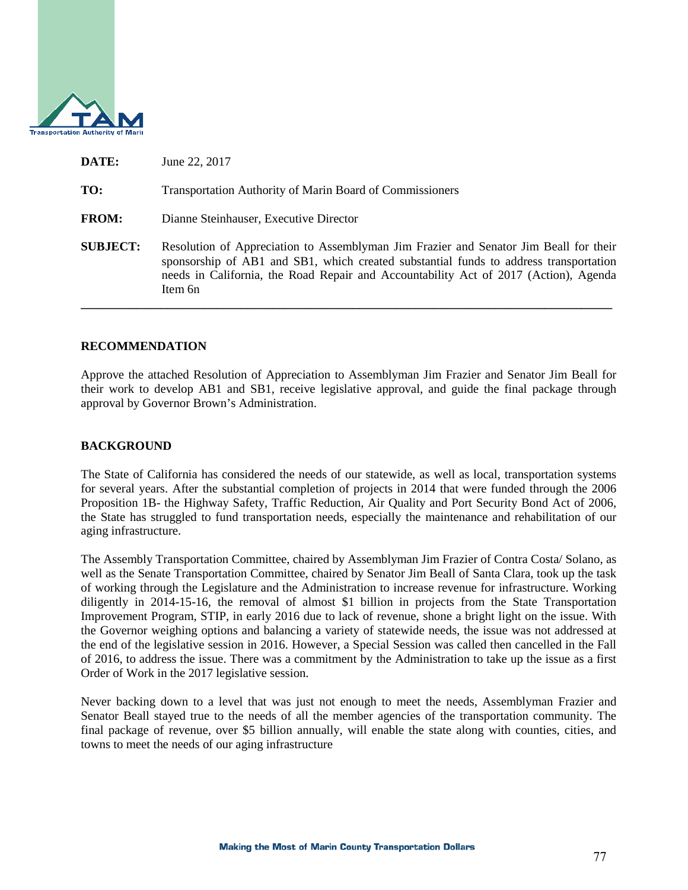

| DATE:           | June 22, 2017                                                                                                                                                                                                                                                                     |  |
|-----------------|-----------------------------------------------------------------------------------------------------------------------------------------------------------------------------------------------------------------------------------------------------------------------------------|--|
| TO:             | Transportation Authority of Marin Board of Commissioners                                                                                                                                                                                                                          |  |
| <b>FROM:</b>    | Dianne Steinhauser, Executive Director                                                                                                                                                                                                                                            |  |
| <b>SUBJECT:</b> | Resolution of Appreciation to Assemblyman Jim Frazier and Senator Jim Beall for their<br>sponsorship of AB1 and SB1, which created substantial funds to address transportation<br>needs in California, the Road Repair and Accountability Act of 2017 (Action), Agenda<br>Item 6n |  |

### **RECOMMENDATION**

Approve the attached Resolution of Appreciation to Assemblyman Jim Frazier and Senator Jim Beall for their work to develop AB1 and SB1, receive legislative approval, and guide the final package through approval by Governor Brown's Administration.

**\_\_\_\_\_\_\_\_\_\_\_\_\_\_\_\_\_\_\_\_\_\_\_\_\_\_\_\_\_\_\_\_\_\_\_\_\_\_\_\_\_\_\_\_\_\_\_\_\_\_\_\_\_\_\_\_\_\_\_\_\_\_\_\_\_\_\_\_\_\_\_\_\_\_\_\_\_\_\_\_\_\_\_\_\_\_** 

#### **BACKGROUND**

The State of California has considered the needs of our statewide, as well as local, transportation systems for several years. After the substantial completion of projects in 2014 that were funded through the 2006 Proposition 1B- the Highway Safety, Traffic Reduction, Air Quality and Port Security Bond Act of 2006, the State has struggled to fund transportation needs, especially the maintenance and rehabilitation of our aging infrastructure.

The Assembly Transportation Committee, chaired by Assemblyman Jim Frazier of Contra Costa/ Solano, as well as the Senate Transportation Committee, chaired by Senator Jim Beall of Santa Clara, took up the task of working through the Legislature and the Administration to increase revenue for infrastructure. Working diligently in 2014-15-16, the removal of almost \$1 billion in projects from the State Transportation Improvement Program, STIP, in early 2016 due to lack of revenue, shone a bright light on the issue. With the Governor weighing options and balancing a variety of statewide needs, the issue was not addressed at the end of the legislative session in 2016. However, a Special Session was called then cancelled in the Fall of 2016, to address the issue. There was a commitment by the Administration to take up the issue as a first Order of Work in the 2017 legislative session.

Never backing down to a level that was just not enough to meet the needs, Assemblyman Frazier and Senator Beall stayed true to the needs of all the member agencies of the transportation community. The final package of revenue, over \$5 billion annually, will enable the state along with counties, cities, and towns to meet the needs of our aging infrastructure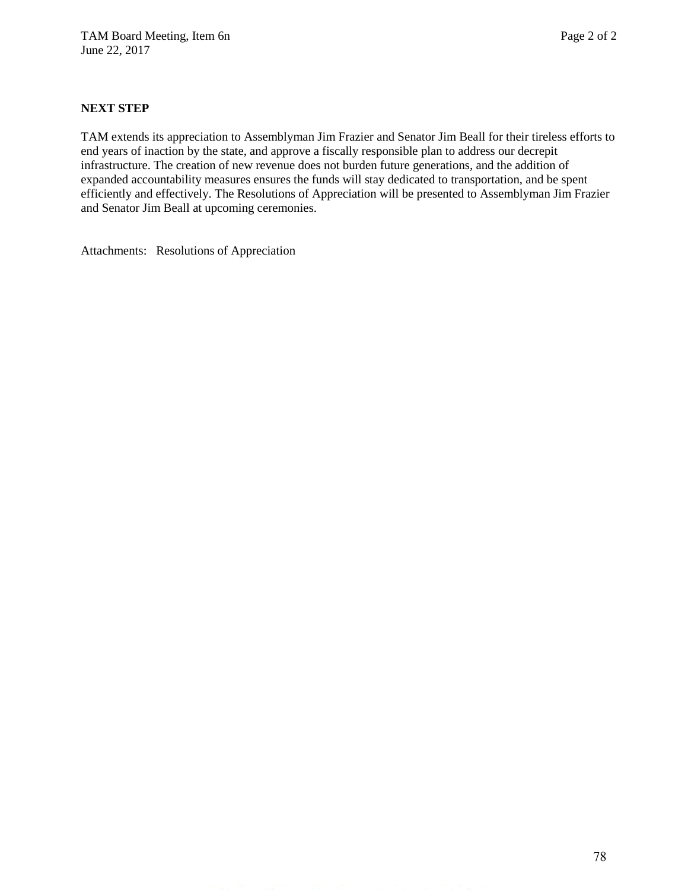# **NEXT STEP**

TAM extends its appreciation to Assemblyman Jim Frazier and Senator Jim Beall for their tireless efforts to end years of inaction by the state, and approve a fiscally responsible plan to address our decrepit infrastructure. The creation of new revenue does not burden future generations, and the addition of expanded accountability measures ensures the funds will stay dedicated to transportation, and be spent efficiently and effectively. The Resolutions of Appreciation will be presented to Assemblyman Jim Frazier and Senator Jim Beall at upcoming ceremonies.

Attachments: Resolutions of Appreciation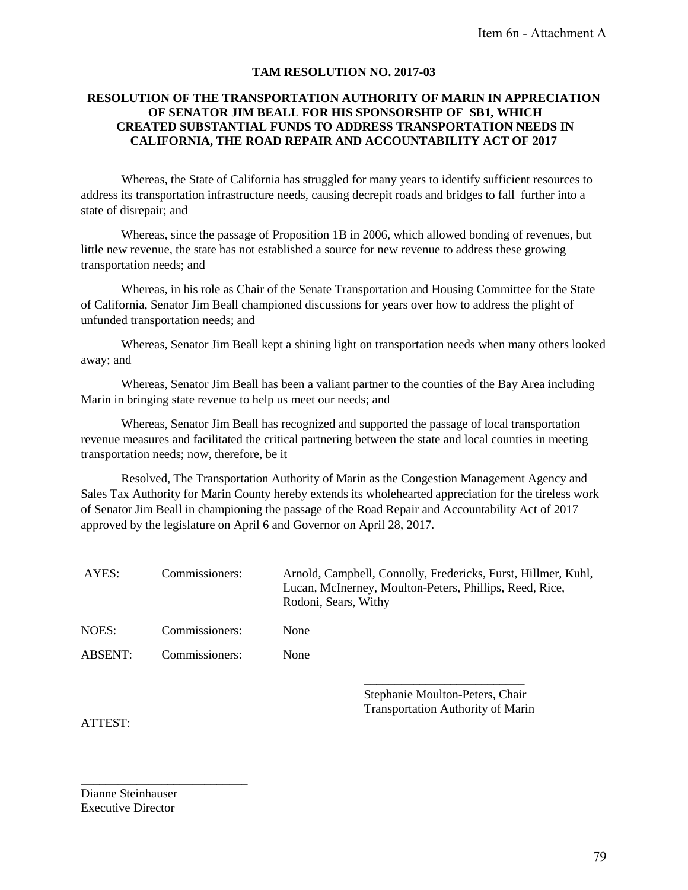### **TAM RESOLUTION NO. 2017-03**

# **RESOLUTION OF THE TRANSPORTATION AUTHORITY OF MARIN IN APPRECIATION OF SENATOR JIM BEALL FOR HIS SPONSORSHIP OF SB1, WHICH CREATED SUBSTANTIAL FUNDS TO ADDRESS TRANSPORTATION NEEDS IN CALIFORNIA, THE ROAD REPAIR AND ACCOUNTABILITY ACT OF 2017**

Whereas, the State of California has struggled for many years to identify sufficient resources to address its transportation infrastructure needs, causing decrepit roads and bridges to fall further into a state of disrepair; and

Whereas, since the passage of Proposition 1B in 2006, which allowed bonding of revenues, but little new revenue, the state has not established a source for new revenue to address these growing transportation needs; and

Whereas, in his role as Chair of the Senate Transportation and Housing Committee for the State of California, Senator Jim Beall championed discussions for years over how to address the plight of unfunded transportation needs; and

Whereas, Senator Jim Beall kept a shining light on transportation needs when many others looked away; and

Whereas, Senator Jim Beall has been a valiant partner to the counties of the Bay Area including Marin in bringing state revenue to help us meet our needs; and

Whereas, Senator Jim Beall has recognized and supported the passage of local transportation revenue measures and facilitated the critical partnering between the state and local counties in meeting transportation needs; now, therefore, be it

Resolved, The Transportation Authority of Marin as the Congestion Management Agency and Sales Tax Authority for Marin County hereby extends its wholehearted appreciation for the tireless work of Senator Jim Beall in championing the passage of the Road Repair and Accountability Act of 2017 approved by the legislature on April 6 and Governor on April 28, 2017.

| AYES:          | Commissioners: | Arnold, Campbell, Connolly, Fredericks, Furst, Hillmer, Kuhl,<br>Lucan, McInerney, Moulton-Peters, Phillips, Reed, Rice,<br>Rodoni, Sears, Withy |
|----------------|----------------|--------------------------------------------------------------------------------------------------------------------------------------------------|
| NOES:          | Commissioners: | None                                                                                                                                             |
| <b>ABSENT:</b> | Commissioners: | <b>None</b>                                                                                                                                      |

Stephanie Moulton-Peters, Chair Transportation Authority of Marin

\_\_\_\_\_\_\_\_\_\_\_\_\_\_\_\_\_\_\_\_\_\_\_\_\_\_

ATTEST:

Dianne Steinhauser Executive Director

\_\_\_\_\_\_\_\_\_\_\_\_\_\_\_\_\_\_\_\_\_\_\_\_\_\_\_